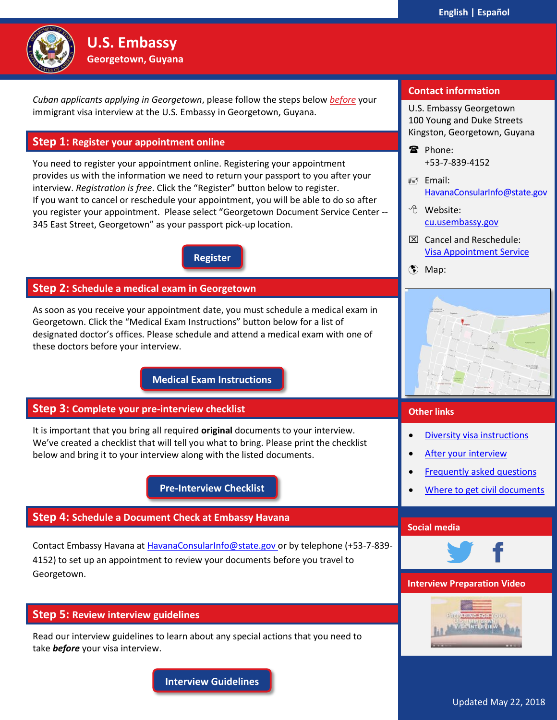

<span id="page-0-0"></span>*Cuban applicants applying in Georgetown*, please follow the steps below *before* your immigrant visa interview at the U.S. Embassy in Georgetown, Guyana.

# <span id="page-0-1"></span>**Step 1: Register your appointment online**

**U.S. Embassy Georgetown, Guyana**

You need to register your appointment online. Registering your appointment provides us with the information we need to return your passport to you after your interview. *Registration is free*. Click the "Register" button below to register. If you want to cancel or reschedule your appointment, you will be able to do so after you register your appointment. Please select "Georgetown Document Service Center -- 345 East Street, Georgetown" as your passport pick-up location.

**[Register](https://ais.usvisa-info.com/en-gy/iv/information/iv_services)**

# **Step 2: Schedule a medical exam in Georgetown**

As soon as you receive your appointment date, you must schedule a medical exam in Georgetown. Click the "Medical Exam Instructions" button below for a list of designated doctor's offices. Please schedule and attend a medical exam with one of these doctors before your interview.

**[Medical Exam Instructions](#page-1-0)**

# **Step 3: Complete your pre-interview checklist**

It is important that you bring all required **original** documents to your interview. We've created a checklist that will tell you what to bring. Please print the checklist below and bring it to your interview along with the listed documents.

**[Pre-Interview Checklist](#page-3-0)**

# **Step 4: Schedule a Document Check at Embassy Havana**

Contact Embassy Havana at [HavanaConsularInfo@state.gov](mailto:HavanaConsularInfo@state.gov) or by telephone (+53-7-839- 4152) to set up an appointment to review your documents before you travel to Georgetown.

# **Step 5: Review interview guidelines**

Read our interview guidelines to learn about any special actions that you need to take *before* your visa interview.

**[Interview Guidelines](#page-4-0)**

# **Contact information**

U.S. Embassy Georgetown 100 Young and Duke Streets Kingston, Georgetown, Guyana

<sup>雷</sup> Phone: +53-7-839-4152

- $\equiv$ 7 Email: [HavanaConsularInfo@state.gov](mailto:HavanaConsularInfo@state.gov)
- Website: [cu.usembassy.gov](https://cu.usembassy.gov/)
- Cancel and Reschedule: [Visa Appointment Service](https://ais.usvisa-info.com/en-gy/iv/information/iv_services)
- Map:

**Other links**



| Social media |                              |  |  |  |
|--------------|------------------------------|--|--|--|
|              |                              |  |  |  |
|              | Where to get civil documents |  |  |  |
|              |                              |  |  |  |
|              | Frequently asked questions   |  |  |  |
|              | After your interview         |  |  |  |
|              | Diversity visa instructions  |  |  |  |
|              |                              |  |  |  |



# **Interview Preparation Video**



Updated May 22, 2018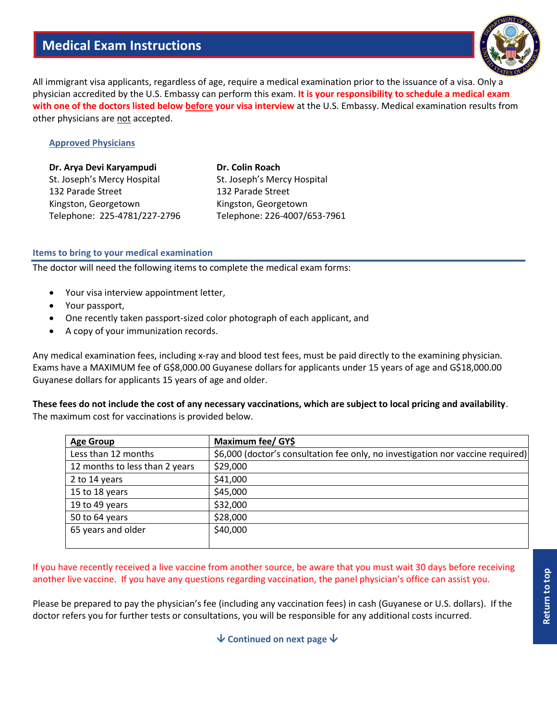# **Medical Exam Instructions**



<span id="page-1-0"></span>All immigrant visa applicants, regardless of age, require a medical examination prior to the issuance of a visa. Only a physician accredited by the U.S. Embassy can perform this exam. **It is your responsibility to schedule a medical exam with one of the doctors listed below before your visa interview** at the U.S. Embassy. Medical examination results from other physicians are not accepted.

# **Approved Physicians**

| Dr. Arya Devi Karyampudi     | Dr. Colin Roach              |
|------------------------------|------------------------------|
| St. Joseph's Mercy Hospital  | St. Joseph's Mercy Hospital  |
| 132 Parade Street            | 132 Parade Street            |
| Kingston, Georgetown         | Kingston, Georgetown         |
| Telephone: 225-4781/227-2796 | Telephone: 226-4007/653-7961 |

#### **Items to bring to your medical examination**

The doctor will need the following items to complete the medical exam forms:

- Your visa interview appointment letter,
- Your passport,
- One recently taken passport-sized color photograph of each applicant, and
- A copy of your immunization records.

Any medical examination fees, including x-ray and blood test fees, must be paid directly to the examining physician. Exams have a MAXIMUM fee of G\$8,000.00 Guyanese dollars for applicants under 15 years of age and G\$18,000.00 Guyanese dollars for applicants 15 years of age and older.

**These fees do not include the cost of any necessary vaccinations, which are subject to local pricing and availability**. The maximum cost for vaccinations is provided below.

| Maximum fee/ GY\$                                                               |
|---------------------------------------------------------------------------------|
| \$6,000 (doctor's consultation fee only, no investigation nor vaccine required) |
| \$29,000                                                                        |
| \$41,000                                                                        |
| \$45,000                                                                        |
| \$32,000                                                                        |
| \$28,000                                                                        |
| \$40,000                                                                        |
|                                                                                 |

If you have recently received a live vaccine from another source, be aware that you must wait 30 days before receiving another live vaccine. If you have any questions regarding vaccination, the panel physician's office can assist you.

Please be prepared to pay the physician's fee (including any vaccination fees) in cash (Guyanese or U.S. dollars). If the doctor refers you for further tests or consultations, you will be responsible for any additional costs incurred.

**↓ Continued on next page ↓**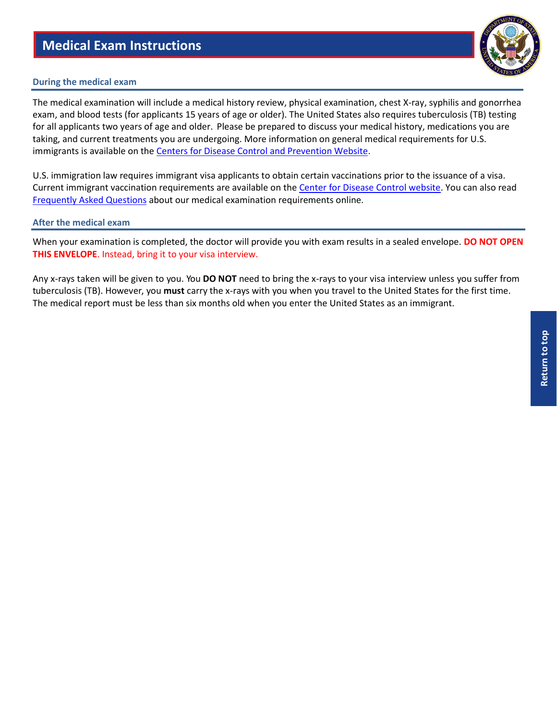# **Medical Exam Instructions**

#### **During the medical exam**

The medical examination will include a medical history review, physical examination, chest X-ray, syphilis and gonorrhea exam, and blood tests (for applicants 15 years of age or older). The United States also requires tuberculosis (TB) testing for all applicants two years of age and older. Please be prepared to discuss your medical history, medications you are taking, and current treatments you are undergoing. More information on general medical requirements for U.S. immigrants is available on the [Centers for Disease Control and Prevention Website.](http://cdc.gov/immigrantrefugeehealth/exams/medical-examination.html)

U.S. immigration law requires immigrant visa applicants to obtain certain vaccinations prior to the issuance of a visa. Current immigrant vaccination requirements are available on the [Center for Disease Control website.](http://cdc.gov/immigrantrefugeehealth/exams/ti/panel/vaccination-panel-technical-instructions.html) You can also read [Frequently Asked Questions](https://travel.state.gov/content/travel/en/us-visas/immigrate/the-immigrant-visa-process/interview/interview-prepare/medical-examination-faqs.html) about our medical examination requirements online.

#### **After the medical exam**

When your examination is completed, the doctor will provide you with exam results in a sealed envelope. **DO NOT OPEN THIS ENVELOPE**. Instead, bring it to your visa interview.

Any x-rays taken will be given to you. You **DO NOT** need to bring the x-rays to your visa interview unless you suffer from tuberculosis (TB). However, you **must** carry the x-rays with you when you travel to the United States for the first time. The medical report must be less than six months old when you enter the United States as an immigrant.

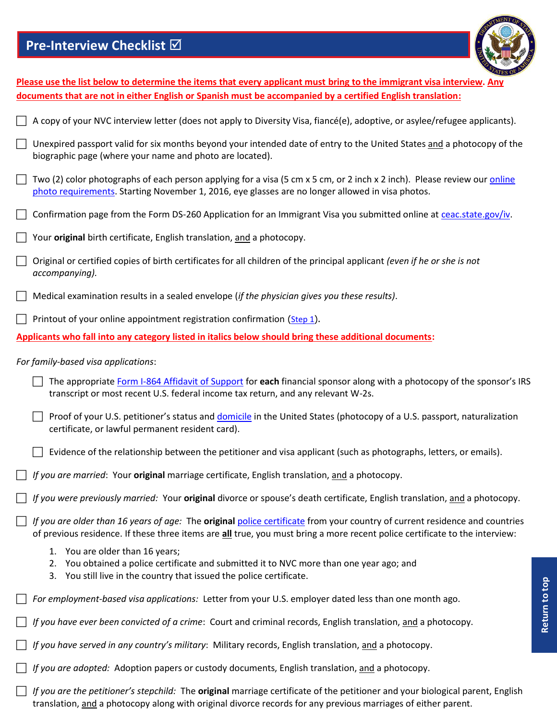# **Pre-Interview Checklist**



Return to top **[Return to top](#page-0-0)**

<span id="page-3-0"></span>

| Please use the list below to determine the items that every applicant must bring to the immigrant visa interview. Any |                                                                                                                                                                                                                                                            |  |  |  |  |
|-----------------------------------------------------------------------------------------------------------------------|------------------------------------------------------------------------------------------------------------------------------------------------------------------------------------------------------------------------------------------------------------|--|--|--|--|
|                                                                                                                       | documents that are not in either English or Spanish must be accompanied by a certified English translation:                                                                                                                                                |  |  |  |  |
|                                                                                                                       | A copy of your NVC interview letter (does not apply to Diversity Visa, fiancé(e), adoptive, or asylee/refugee applicants).                                                                                                                                 |  |  |  |  |
|                                                                                                                       | Unexpired passport valid for six months beyond your intended date of entry to the United States and a photocopy of the<br>biographic page (where your name and photo are located).                                                                         |  |  |  |  |
| $\mathbb{R}^n$                                                                                                        | Two (2) color photographs of each person applying for a visa (5 cm x 5 cm, or 2 inch x 2 inch). Please review our online<br>photo requirements. Starting November 1, 2016, eye glasses are no longer allowed in visa photos.                               |  |  |  |  |
|                                                                                                                       | Confirmation page from the Form DS-260 Application for an Immigrant Visa you submitted online at ceac.state.gov/iv.                                                                                                                                        |  |  |  |  |
|                                                                                                                       | Your original birth certificate, English translation, and a photocopy.                                                                                                                                                                                     |  |  |  |  |
|                                                                                                                       | Original or certified copies of birth certificates for all children of the principal applicant (even if he or she is not<br>accompanying).                                                                                                                 |  |  |  |  |
|                                                                                                                       | Medical examination results in a sealed envelope (if the physician gives you these results).                                                                                                                                                               |  |  |  |  |
|                                                                                                                       | Printout of your online appointment registration confirmation (Step 1).                                                                                                                                                                                    |  |  |  |  |
|                                                                                                                       | Applicants who fall into any category listed in italics below should bring these additional documents:                                                                                                                                                     |  |  |  |  |
|                                                                                                                       | For family-based visa applications:                                                                                                                                                                                                                        |  |  |  |  |
|                                                                                                                       | The appropriate Form I-864 Affidavit of Support for each financial sponsor along with a photocopy of the sponsor's IRS<br>transcript or most recent U.S. federal income tax return, and any relevant W-2s.                                                 |  |  |  |  |
|                                                                                                                       | Proof of your U.S. petitioner's status and domicile in the United States (photocopy of a U.S. passport, naturalization<br>certificate, or lawful permanent resident card).                                                                                 |  |  |  |  |
|                                                                                                                       | Evidence of the relationship between the petitioner and visa applicant (such as photographs, letters, or emails).                                                                                                                                          |  |  |  |  |
|                                                                                                                       | If you are married: Your original marriage certificate, English translation, and a photocopy.                                                                                                                                                              |  |  |  |  |
|                                                                                                                       | If you were previously married: Your original divorce or spouse's death certificate, English translation, and a photocopy.                                                                                                                                 |  |  |  |  |
|                                                                                                                       | If you are older than 16 years of age: The original police certificate from your country of current residence and countries<br>of previous residence. If these three items are all true, you must bring a more recent police certificate to the interview: |  |  |  |  |
|                                                                                                                       | 1. You are older than 16 years;<br>2. You obtained a police certificate and submitted it to NVC more than one year ago; and<br>3. You still live in the country that issued the police certificate.                                                        |  |  |  |  |
|                                                                                                                       | For employment-based visa applications: Letter from your U.S. employer dated less than one month ago.                                                                                                                                                      |  |  |  |  |
|                                                                                                                       | If you have ever been convicted of a crime: Court and criminal records, English translation, and a photocopy.                                                                                                                                              |  |  |  |  |
|                                                                                                                       | If you have served in any country's military: Military records, English translation, and a photocopy.                                                                                                                                                      |  |  |  |  |
|                                                                                                                       | If you are adopted: Adoption papers or custody documents, English translation, and a photocopy.                                                                                                                                                            |  |  |  |  |
|                                                                                                                       | If you are the petitioner's stepchild: The original marriage certificate of the petitioner and your biological parent, English<br>translation, and a photocopy along with original divorce records for any previous marriages of either parent.            |  |  |  |  |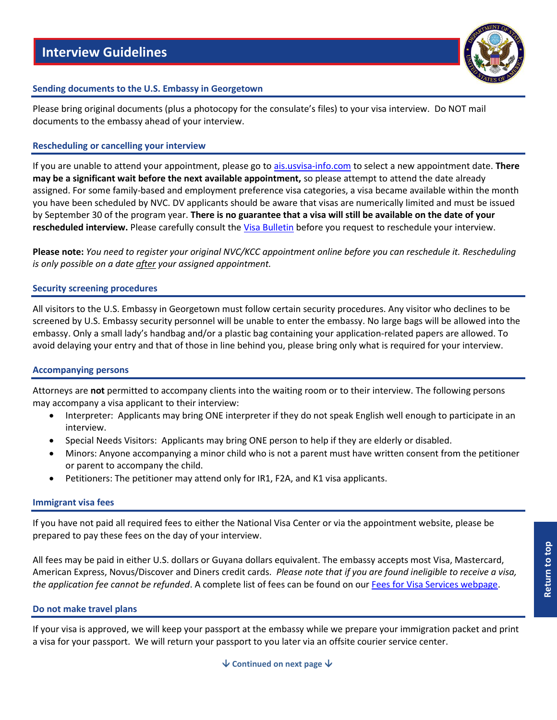

# <span id="page-4-0"></span>**Sending documents to the U.S. Embassy in Georgetown**

Please bring original documents (plus a photocopy for the consulate's files) to your visa interview. Do NOT mail documents to the embassy ahead of your interview.

# **Rescheduling or cancelling your interview**

If you are unable to attend your appointment, please go to [ais.usvisa-info.com](https://ais.usvisa-info.com/en-gy/iv/information/iv_services) to select a new appointment date. **There may be a significant wait before the next available appointment,** so please attempt to attend the date already assigned. For some family-based and employment preference visa categories, a visa became available within the month you have been scheduled by NVC. DV applicants should be aware that visas are numerically limited and must be issued by September 30 of the program year. **There is no guarantee that a visa will still be available on the date of your rescheduled interview.** Please carefully consult the [Visa Bulletin](https://travel.state.gov/content/travel/en/legal/visa-law0/visa-bulletin.html) before you request to reschedule your interview.

**Please note:** *You need to register your original NVC/KCC appointment online before you can reschedule it. Rescheduling is only possible on a date after your assigned appointment.*

# **Security screening procedures**

All visitors to the U.S. Embassy in Georgetown must follow certain security procedures. Any visitor who declines to be screened by U.S. Embassy security personnel will be unable to enter the embassy. No large bags will be allowed into the embassy. Only a small lady's handbag and/or a plastic bag containing your application-related papers are allowed. To avoid delaying your entry and that of those in line behind you, please bring only what is required for your interview.

# **Accompanying persons**

Attorneys are **not** permitted to accompany clients into the waiting room or to their interview. The following persons may accompany a visa applicant to their interview:

- Interpreter: Applicants may bring ONE interpreter if they do not speak English well enough to participate in an interview.
- Special Needs Visitors: Applicants may bring ONE person to help if they are elderly or disabled.
- Minors: Anyone accompanying a minor child who is not a parent must have written consent from the petitioner or parent to accompany the child.
- Petitioners: The petitioner may attend only for IR1, F2A, and K1 visa applicants.

# **Immigrant visa fees**

If you have not paid all required fees to either the National Visa Center or via the appointment website, please be prepared to pay these fees on the day of your interview.

All fees may be paid in either U.S. dollars or Guyana dollars equivalent. The embassy accepts most Visa, Mastercard, American Express, Novus/Discover and Diners credit cards. *Please note that if you are found ineligible to receive a visa, the application fee cannot be refunded*. A complete list of fees can be found on ou[r Fees for Visa Services webpage.](https://travel.state.gov/content/travel/en/us-visas/visa-information-resources/fees/fees-visa-services.html)

# **Do not make travel plans**

If your visa is approved, we will keep your passport at the embassy while we prepare your immigration packet and print a visa for your passport. We will return your passport to you later via an offsite courier service center.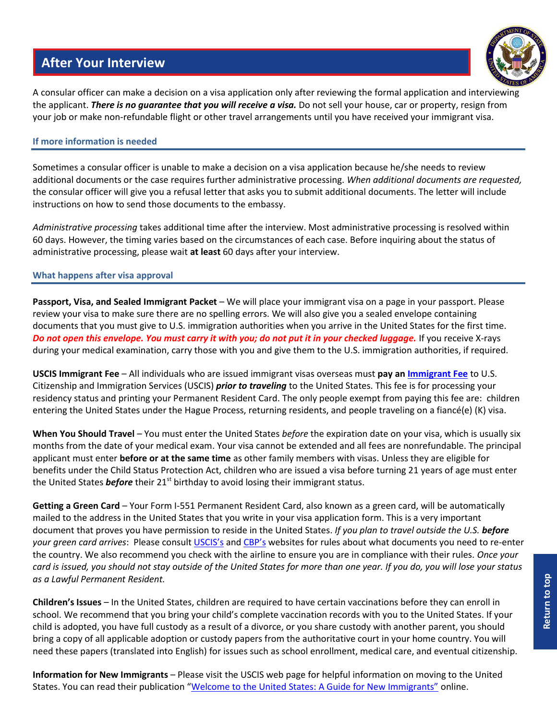# **After Your Interview**



<span id="page-5-0"></span>A consular officer can make a decision on a visa application only after reviewing the formal application and interviewing the applicant. *There is no guarantee that you will receive a visa.* Do not sell your house, car or property, resign from your job or make non-refundable flight or other travel arrangements until you have received your immigrant visa.

# **If more information is needed**

Sometimes a consular officer is unable to make a decision on a visa application because he/she needs to review additional documents or the case requires further administrative processing. *When additional documents are requested,* the consular officer will give you a refusal letter that asks you to submit additional documents. The letter will include instructions on how to send those documents to the embassy.

*Administrative processing* takes additional time after the interview. Most administrative processing is resolved within 60 days. However, the timing varies based on the circumstances of each case. Before inquiring about the status of administrative processing, please wait **at least** 60 days after your interview.

# **What happens after visa approval**

**Passport, Visa, and Sealed Immigrant Packet** – We will place your immigrant visa on a page in your passport. Please review your visa to make sure there are no spelling errors. We will also give you a sealed envelope containing documents that you must give to U.S. immigration authorities when you arrive in the United States for the first time. *Do not open this envelope. You must carry it with you; do not put it in your checked luggage.* If you receive X-rays during your medical examination, carry those with you and give them to the U.S. immigration authorities, if required.

**USCIS Immigrant Fee** – All individuals who are issued immigrant visas overseas must **pay an [Immigrant Fee](https://uscis.gov/file-online/uscis-immigrant-fee)** to U.S. Citizenship and Immigration Services (USCIS) *prior to traveling* to the United States. This fee is for processing your residency status and printing your Permanent Resident Card. The only people exempt from paying this fee are: children entering the United States under the Hague Process, returning residents, and people traveling on a fiancé(e) (K) visa.

**When You Should Travel** – You must enter the United States *before* the expiration date on your visa, which is usually six months from the date of your medical exam. Your visa cannot be extended and all fees are nonrefundable. The principal applicant must enter **before or at the same time** as other family members with visas. Unless they are eligible for benefits under the Child Status Protection Act, children who are issued a visa before turning 21 years of age must enter the United States **before** their 21<sup>st</sup> birthday to avoid losing their immigrant status.

**Getting a Green Card** – Your Form I-551 Permanent Resident Card, also known as a green card, will be automatically mailed to the address in the United States that you write in your visa application form. This is a very important document that proves you have permission to reside in the United States. *If you plan to travel outside the U.S. before your green card arrives*: Please consult [USCIS's](https://uscis.gov/i-9-central/temporary-i-551-stamps-and-mrivs) and [CBP's](https://cbp.gov/travel/us-citizens/know-before-you-go/your-trip) websites for rules about what documents you need to re-enter the country. We also recommend you check with the airline to ensure you are in compliance with their rules. *Once your card is issued, you should not stay outside of the United States for more than one year. If you do, you will lose your status as a Lawful Permanent Resident.*

**Children's Issues** – In the United States, children are required to have certain vaccinations before they can enroll in school. We recommend that you bring your child's complete vaccination records with you to the United States. If your child is adopted, you have full custody as a result of a divorce, or you share custody with another parent, you should bring a copy of all applicable adoption or custody papers from the authoritative court in your home country. You will need these papers (translated into English) for issues such as school enrollment, medical care, and eventual citizenship.

**Information for New Immigrants** – Please visit the USCIS web page for helpful information on moving to the United States. You can read their publication ["Welcome to the United States: A Guide for New Immigrants"](https://uscis.gov/tools/settling-us/welcome-united-states) online.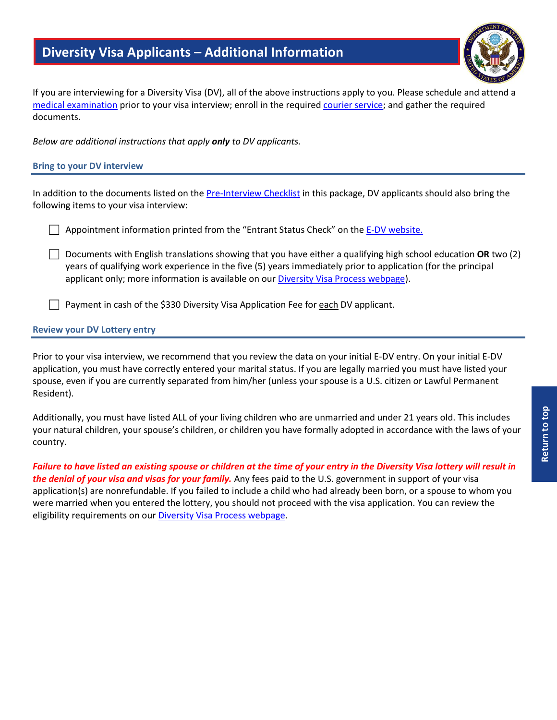# **Diversity Visa Applicants – Additional Information**

<span id="page-6-0"></span>If you are interviewing for a Diversity Visa (DV), all of the above instructions apply to you. Please schedule and attend a [medical examination](#page-1-0) prior to your visa interview; enroll in the require[d courier service;](#page-0-0) and gather the required documents.

*Below are additional instructions that apply only to DV applicants.* 

# **Bring to your DV interview**

In addition to the documents listed on the [Pre-Interview Checklist](#page-3-0) in this package, DV applicants should also bring the following items to your visa interview:

**Appointment information printed from the "Entrant Status Check" on the [E-DV website.](http://dvlottery.state.gov/)** 

 Documents with English translations showing that you have either a qualifying high school education **OR** two (2) years of qualifying work experience in the five (5) years immediately prior to application (for the principal applicant only; more information is available on ou[r Diversity Visa Process webpage\)](https://travel.state.gov/content/travel/en/us-visas/immigrate/diversity-visa-program-entry/diversity-visa-if-you-are-selected/diversity-visa-confirm-your-qualifications.html).

Payment in cash of the \$330 Diversity Visa Application Fee for each DV applicant.

# **Review your DV Lottery entry**

Prior to your visa interview, we recommend that you review the data on your initial E-DV entry. On your initial E-DV application, you must have correctly entered your marital status. If you are legally married you must have listed your spouse, even if you are currently separated from him/her (unless your spouse is a U.S. citizen or Lawful Permanent Resident).

Additionally, you must have listed ALL of your living children who are unmarried and under 21 years old. This includes your natural children, your spouse's children, or children you have formally adopted in accordance with the laws of your country.

*Failure to have listed an existing spouse or children at the time of your entry in the Diversity Visa lottery will result in the denial of your visa and visas for your family.* Any fees paid to the U.S. government in support of your visa application(s) are nonrefundable. If you failed to include a child who had already been born, or a spouse to whom you were married when you entered the lottery, you should not proceed with the visa application. You can review the eligibility requirements on our [Diversity Visa Process webpage.](https://travel.state.gov/content/travel/en/us-visas/immigrate/diversity-visa-program-entry/diversity-visa-if-you-are-selected/diversity-visa-confirm-your-qualifications.html)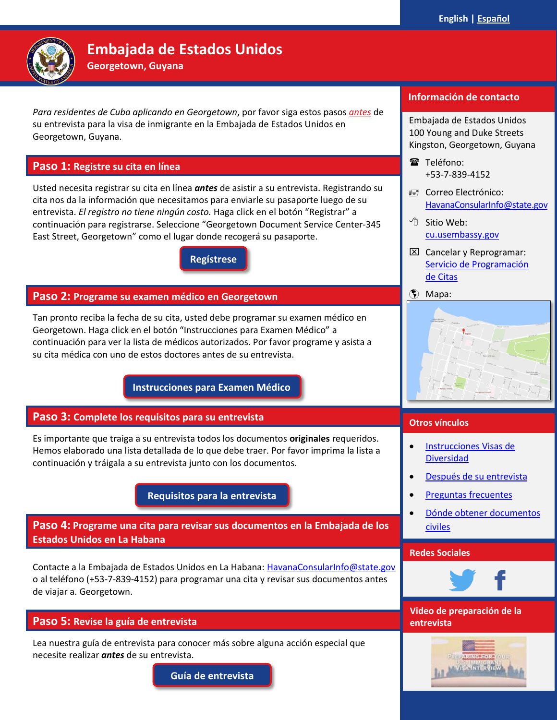<span id="page-7-1"></span><span id="page-7-0"></span>

# **Embajada de Estados Unidos**

**Georgetown, Guyana**

*Para residentes de Cuba aplicando en Georgetown*, por favor siga estos pasos *antes* de su entrevista para la visa de inmigrante en la Embajada de Estados Unidos en Georgetown, Guyana.

# <span id="page-7-2"></span>**Paso 1: Registre su cita en línea**

Usted necesita registrar su cita en línea *antes* de asistir a su entrevista. Registrando su cita nos da la información que necesitamos para enviarle su pasaporte luego de su entrevista. *El registro no tiene ningún costo.* Haga click en el botón "Registrar" a continuación para registrarse. Seleccione "Georgetown Document Service Center-345 East Street, Georgetown" como el lugar donde recogerá su pasaporte.

> **[Regístrese](https://ais.usvisa-info.com/en-gy/iv/information/iv_services) [Regístrese](https://ais.usvisa-info.com/es-co/iv/information/iv_serviceshttps:/ais.usvisa-info.com/es-co/iv/information/iv_services)**

# **Paso 2: Programe su examen médico en Georgetown**

Tan pronto reciba la fecha de su cita, usted debe programar su examen médico en Georgetown. Haga click en el botón "Instrucciones para Examen Médico" a continuación para ver la lista de médicos autorizados. Por favor programe y asista a su cita médica con uno de estos doctores antes de su entrevista.

**[Instrucciones para Examen Médico](#page-8-0)**

# **Paso 3: Complete los requisitos para su entrevista**

**[M1M](#page-8-0)**

Es importante que traiga a su entrevista todos los documentos **originales** requeridos. Hemos elaborado una lista detallada de lo que debe traer. Por favor imprima la lista a continuación y tráigala a su entrevista junto con los documentos.

**[Requisitos para la entrevista](#page-10-0)**

**Paso 4: Programe una cita para revisar sus documentos en la Embajada de los Estados Unidos en La Habana**

Contacte a la Embajada de Estados Unidos en La Habana: [HavanaConsularInfo@state.gov](mailto:HavanaConsularInfo@state.gov) o al teléfono (+53-7-839-4152) para programar una cita y revisar sus documentos antes de viajar a. Georgetown.

# **Paso 5: Revise la guía de entrevista**

Lea nuestra guía de entrevista para conocer más sobre alguna acción especial que necesite realizar *antes* de su entrevista.

**Guía [de entrevista](#page-12-0)**

# **Información de contacto**

Embajada de Estados Unidos 100 Young and Duke Streets Kingston, Georgetown, Guyana

- Teléfono: +53-7-839-4152
- Correo Electrónico: [HavanaConsularInfo@state.gov](mailto:HavanaConsularInfo@state.gov)
- <sup>1</sup>① Sitio Web: [cu.usembassy.gov](https://cu.usembassy.gov/)
- $\boxtimes$  Cancelar y Reprogramar: [Servicio de Programación](https://ais.usvisa-info.com/en-gy/iv/information/iv_services)  [de Citas](https://ais.usvisa-info.com/en-gy/iv/information/iv_services)
- (\*) [Mapa:](https://www.google.com/maps/place/Embassy+of+the+United+States/@6.8231661,-58.1633138,17z/data=!3m1!4b1!4m5!3m4!1s0x8dafef13c5000001:0x47e7aa4bca78ab3a!8m2!3d6.8231608!4d-58.1611251)



# **Otros vínculos**

- **Instrucciones Visas de** [Diversidad](#page-15-0)
- [Después de su entrevista](#page-13-0)
- [Preguntas frecuentes](https://travel.state.gov/content/travel/en/us-visas/inmigracion/cita-de-entrevista-y-preparacion.html)
- [Dónde obtener documentos](https://travel.state.gov/content/travel/en/us-visas/Visa-Reciprocity-and-Civil-Documents-by-Country/Cuba.html)  [civiles](https://travel.state.gov/content/travel/en/us-visas/Visa-Reciprocity-and-Civil-Documents-by-Country/Cuba.html)

#### **Redes Sociales** [Colombian Document Guide](https://travel.state.gov/content/visas/en/fees/reciprocity-by-country/CO.html)



**Video de preparación de la entrevista**

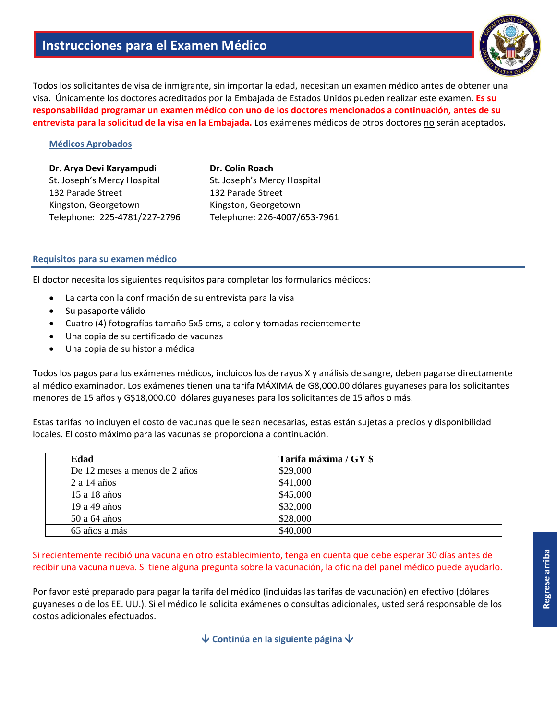<span id="page-8-0"></span>Todos los solicitantes de visa de inmigrante, sin importar la edad, necesitan un examen médico antes de obtener una visa. Únicamente los doctores acreditados por la Embajada de Estados Unidos pueden realizar este examen. **Es su responsabilidad programar un examen médico con uno de los doctores mencionados a continuación, antes de su entrevista para la solicitud de la visa en la Embajada.** Los exámenes médicos de otros doctores no serán aceptados**.**

# **Médicos Aprobados**

| Dr. Arya Devi Karyampudi     |  |  |
|------------------------------|--|--|
| St. Joseph's Mercy Hospital  |  |  |
| 132 Parade Street            |  |  |
| Kingston, Georgetown         |  |  |
| Telephone: 225-4781/227-2796 |  |  |

**Dr. Colin Roach** St. Joseph's Mercy Hospital 132 Parade Street Kingston, Georgetown Telephone: 226-4007/653-7961

# **Requisitos para su examen médico**

El doctor necesita los siguientes requisitos para completar los formularios médicos:

- La carta con la confirmación de su entrevista para la visa
- Su pasaporte válido
- Cuatro (4) fotografías tamaño 5x5 cms, a color y tomadas recientemente
- Una copia de su certificado de vacunas
- Una copia de su historia médica

Todos los pagos para los exámenes médicos, incluidos los de rayos X y análisis de sangre, deben pagarse directamente al médico examinador. Los exámenes tienen una tarifa MÁXIMA de G8,000.00 dólares guyaneses para los solicitantes menores de 15 años y G\$18,000.00 dólares guyaneses para los solicitantes de 15 años o más.

Estas tarifas no incluyen el costo de vacunas que le sean necesarias, estas están sujetas a precios y disponibilidad locales. El costo máximo para las vacunas se proporciona a continuación.

| Edad                          | Tarifa máxima / GY \$ |
|-------------------------------|-----------------------|
| De 12 meses a menos de 2 años | \$29,000              |
| $2a14a\tilde{a}$              | \$41,000              |
| 15 a 18 años                  | \$45,000              |
| 19 a 49 años                  | \$32,000              |
| 50 a 64 años                  | \$28,000              |
| 65 años a más                 | \$40,000              |

Si recientemente recibió una vacuna en otro establecimiento, tenga en cuenta que debe esperar 30 días antes de recibir una vacuna nueva. Si tiene alguna pregunta sobre la vacunación, la oficina del panel médico puede ayudarlo.

Por favor esté preparado para pagar la tarifa del médico (incluidas las tarifas de vacunación) en efectivo (dólares guyaneses o de los EE. UU.). Si el médico le solicita exámenes o consultas adicionales, usted será responsable de los costos adicionales efectuados.

**Continúa en la siguiente página**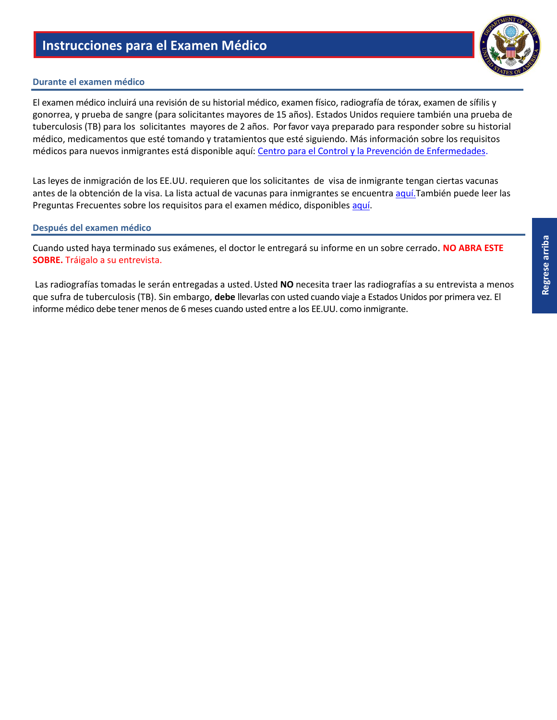# **Durante el examen médico**

El examen médico incluirá una revisión de su historial médico, examen físico, radiografía de tórax, examen de sífilis y gonorrea, y prueba de sangre (para solicitantes mayores de 15 años). Estados Unidos requiere también una prueba de tuberculosis (TB) para los solicitantes mayores de 2 años. Por favor vaya preparado para responder sobre su historial médico, medicamentos que esté tomando y tratamientos que esté siguiendo. Más información sobre los requisitos médicos para nuevos inmigrantes está disponible aquí: [Centro para el Control y la Prevención de Enfermedades.](http://cdc.gov/immigrantrefugeehealth/exams/medical-examination.html)

Las leyes de inmigración de los EE.UU. requieren que los solicitantes de visa de inmigrante tengan ciertas vacunas antes de la obtención de la visa. La lista actual de vacunas para inmigrantes se encuentra [aquí.T](http://cdc.gov/immigrantrefugeehealth/exams/ti/panel/vaccination-panel-technical-instructions.html)ambién puede leer las Preguntas Frecuentes sobre los requisitos para el examen médico, disponibles [aquí.](https://travel.state.gov/content/travel/en/us-visas/inmigracion/el-proceso-de-visa-de-inmigrante/entrevista/prepararse-para-la-entrevista/preparacion-para-la-entrevista-examen-medico-preguntas-frecuentes.html)

# **Después del examen médico**

Cuando usted haya terminado sus exámenes, el doctor le entregará su informe en un sobre cerrado. **NO ABRA ESTE SOBRE.** Tráigalo a su entrevista.

Las radiografías tomadas le serán entregadas a usted. Usted **NO** necesita traer las radiografías a su entrevista a menos que sufra de tuberculosis (TB). Sin embargo, **debe** llevarlas con usted cuando viaje a Estados Unidos por primera vez. El informe médico debe tener menos de 6 meses cuando usted entre a los EE.UU. como inmigrante.

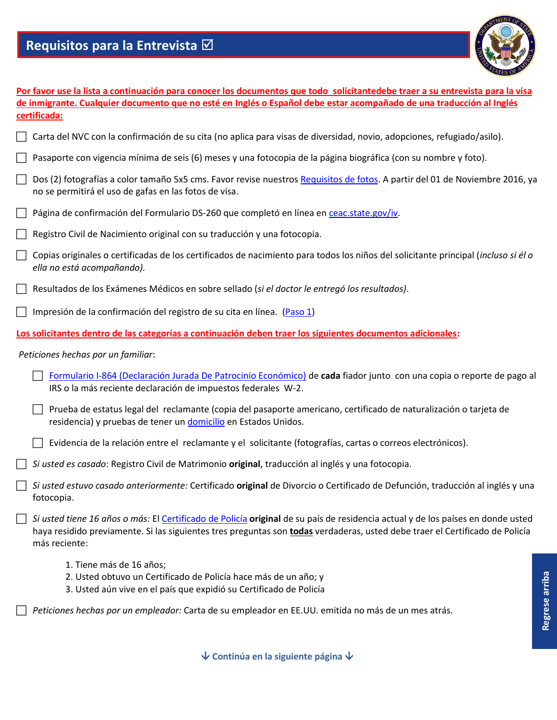# **Requisitos para la Entrevista**



<span id="page-10-0"></span>

| Por favor use la lista a continuación para conocer los documentos que todo solicitantedebe traer a su entrevista para la visa                                                                                                                                                    |  |  |
|----------------------------------------------------------------------------------------------------------------------------------------------------------------------------------------------------------------------------------------------------------------------------------|--|--|
| de inmigrante. Cualquier documento que no esté en Inglés o Español debe estar acompañado de una traducción al Inglés                                                                                                                                                             |  |  |
| certificada:                                                                                                                                                                                                                                                                     |  |  |
| Carta del NVC con la confirmación de su cita (no aplica para visas de diversidad, novio, adopciones, refugiado/asilo).                                                                                                                                                           |  |  |
| Pasaporte con vigencia mínima de seis (6) meses y una fotocopia de la página biográfica (con su nombre y foto).                                                                                                                                                                  |  |  |
| Dos (2) fotografías a color tamaño 5x5 cms. Favor revise nuestros Requisitos de fotos. A partir del 01 de Noviembre 2016, ya<br>$\perp$<br>no se permitirá el uso de gafas en las fotos de visa.                                                                                 |  |  |
| Página de confirmación del Formulario DS-260 que completó en línea en ceac.state.gov/iv.                                                                                                                                                                                         |  |  |
| Registro Civil de Nacimiento original con su traducción y una fotocopia.                                                                                                                                                                                                         |  |  |
| Copias originales o certificadas de los certificados de nacimiento para todos los niños del solicitante principal (incluso si él o<br>П<br>ella no está acompañando).                                                                                                            |  |  |
| Resultados de los Exámenes Médicos en sobre sellado (si el doctor le entregó los resultados).                                                                                                                                                                                    |  |  |
| Impresión de la confirmación del registro de su cita en línea. (Paso 1)                                                                                                                                                                                                          |  |  |
| Los solicitantes dentro de las categorías a continuación deben traer los siguientes documentos adicionales:                                                                                                                                                                      |  |  |
| Peticiones hechas por un familiar:                                                                                                                                                                                                                                               |  |  |
| Formulario I-864 (Declaración Jurada De Patrocinio Económico) de cada fiador junto con una copia o reporte de pago al<br>IRS o la más reciente declaración de impuestos federales W-2.                                                                                           |  |  |
| Prueba de estatus legal del reclamante (copia del pasaporte americano, certificado de naturalización o tarjeta de<br>residencia) y pruebas de tener un domicilio en Estados Unidos.                                                                                              |  |  |
| Evidencia de la relación entre el reclamante y el solicitante (fotografías, cartas o correos electrónicos).                                                                                                                                                                      |  |  |
| Si usted es casado: Registro Civil de Matrimonio original, traducción al inglés y una fotocopia.                                                                                                                                                                                 |  |  |
| Si usted estuvo casado anteriormente: Certificado original de Divorcio o Certificado de Defunción, traducción al inglés y una<br>fotocopia.                                                                                                                                      |  |  |
| Si usted tiene 16 años o más: El Certificado de Policía original de su país de residencia actual y de los países en donde usted<br>haya residido previamente. Si las siguientes tres preguntas son todas verdaderas, usted debe traer el Certificado de Policía<br>más reciente: |  |  |
| 1. Tiene más de 16 años;<br>2. Usted obtuvo un Certificado de Policía hace más de un año; y                                                                                                                                                                                      |  |  |

3. Usted aún vive en el país que expidió su Certificado de Policía

*Peticiones hechas por un empleador:* Carta de su empleador en EE.UU. emitida no más de un mes atrás.

**Continúa en la siguiente página**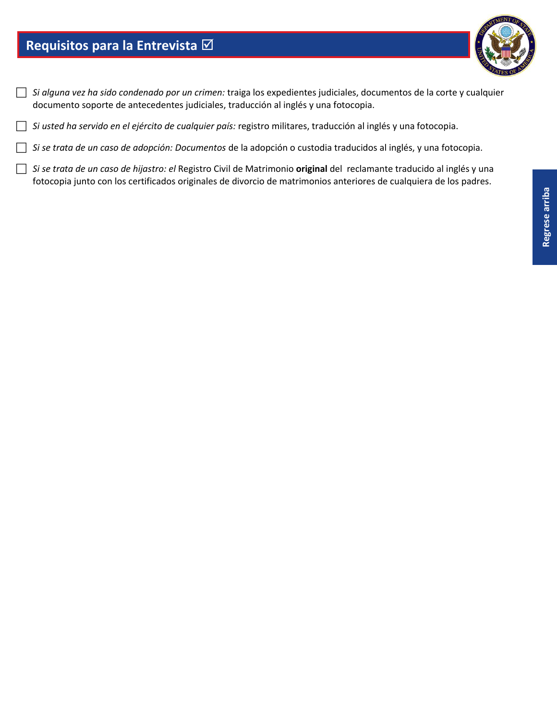# **Requisitos para la Entrevista**



- *Si alguna vez ha sido condenado por un crimen:* traiga los expedientes judiciales, documentos de la corte y cualquier documento soporte de antecedentes judiciales, traducción al inglés y una fotocopia.
- *Si usted ha servido en el ejército de cualquier país:* registro militares, traducción al inglés y una fotocopia.
- *Si se trata de un caso de adopción: Documentos* de la adopción o custodia traducidos al inglés, y una fotocopia.
- *Si se trata de un caso de hijastro: el* Registro Civil de Matrimonio **original** del reclamante traducido al inglés y una fotocopia junto con los certificados originales de divorcio de matrimonios anteriores de cualquiera de los padres.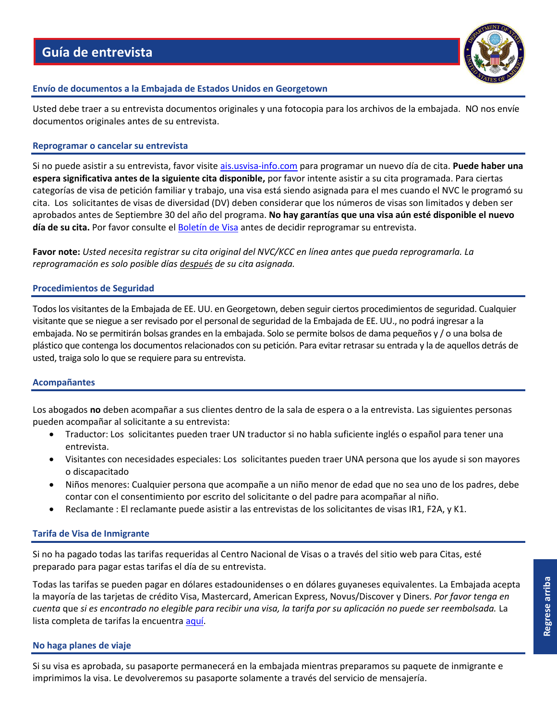

# <span id="page-12-0"></span>**Envío de documentos a la Embajada de Estados Unidos en Georgetown**

Usted debe traer a su entrevista documentos originales y una fotocopia para los archivos de la embajada.NO nos envíe documentos originales antes de su entrevista.

# **Reprogramar o cancelar su entrevista**

Si no puede asistir a su entrevista, favor visite [ais.usvisa-info.com](https://ais.usvisa-info.com/es-gy/iv/information/iv_services) para programar un nuevo día de cita. **Puede haber una espera significativa antes de la siguiente cita disponible,** por favor intente asistir a su cita programada. Para ciertas categorías de visa de petición familiar y trabajo, una visa está siendo asignada para el mes cuando el NVC le programó su cita. Los solicitantes de visas de diversidad (DV) deben considerar que los números de visas son limitados y deben ser aprobados antes de Septiembre 30 del año del programa. **No hay garantías que una visa aún esté disponible el nuevo día de su cita.** Por favor consulte e[l Boletín de Visa](https://travel.state.gov/content/travel/en/legal/visa-law0/visa-bulletin.html) antes de decidir reprogramar su entrevista.

**Favor note:** *Usted necesita registrar su cita original del NVC/KCC en línea antes que pueda reprogramarla. La reprogramación es solo posible días después de su cita asignada.*

# **Procedimientos de Seguridad**

Todos los visitantes de la Embajada de EE. UU. en Georgetown, deben seguir ciertos procedimientos de seguridad. Cualquier visitante que se niegue a ser revisado por el personal de seguridad de la Embajada de EE. UU., no podrá ingresar a la embajada. No se permitirán bolsas grandes en la embajada. Solo se permite bolsos de dama pequeños y / o una bolsa de plástico que contenga los documentos relacionados con su petición. Para evitar retrasar su entrada y la de aquellos detrás de usted, traiga solo lo que se requiere para su entrevista.

# **Acompañantes**

Los abogados **no** deben acompañar a sus clientes dentro de la sala de espera o a la entrevista. Las siguientes personas pueden acompañar al solicitante a su entrevista:

- Traductor: Los solicitantes pueden traer UN traductor si no habla suficiente inglés o español para tener una entrevista.
- Visitantes con necesidades especiales: Los solicitantes pueden traer UNA persona que los ayude si son mayores o discapacitado
- Niños menores: Cualquier persona que acompañe a un niño menor de edad que no sea uno de los padres, debe contar con el consentimiento por escrito del solicitante o del padre para acompañar al niño.
- Reclamante : El reclamante puede asistir a las entrevistas de los solicitantes de visas IR1, F2A, y K1.

# **Tarifa de Visa de Inmigrante**

Si no ha pagado todas las tarifas requeridas al Centro Nacional de Visas o a través del sitio web para Citas, esté preparado para pagar estas tarifas el día de su entrevista.

Todas las tarifas se pueden pagar en dólares estadounidenses o en dólares guyaneses equivalentes. La Embajada acepta la mayoría de las tarjetas de crédito Visa, Mastercard, American Express, Novus/Discover y Diners. *Por favor tenga en cuenta* que *si es encontrado no elegible para recibir una visa, la tarifa por su aplicación no puede ser reembolsada.* La lista completa de tarifas la encuentra [aquí.](https://travel.state.gov/content/travel/en/us-visas/inmigracion/tarifas-para-servicios-de-visa.html)

# **No haga planes de viaje**

Si su visa es aprobada, su pasaporte permanecerá en la embajada mientras preparamos su paquete de inmigrante e imprimimos la visa. Le devolveremos su pasaporte solamente a través del servicio de mensajería.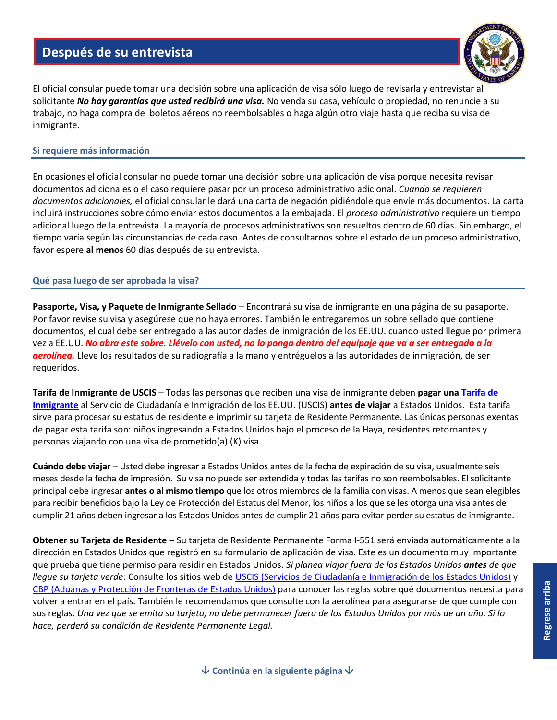# **Después de su entrevista**



<span id="page-13-0"></span>El oficial consular puede tomar una decisión sobre una aplicación de visa sólo luego de revisarla y entrevistar al solicitante *No hay garantías que usted recibirá una visa.* No venda su casa, vehículo o propiedad, no renuncie a su trabajo, no haga compra de boletos aéreos no reembolsables o haga algún otro viaje hasta que reciba su visa de inmigrante.

#### **Si requiere más información**

En ocasiones el oficial consular no puede tomar una decisión sobre una aplicación de visa porque necesita revisar documentos adicionales o el caso requiere pasar por un proceso administrativo adicional. *Cuando se requieren documentos adicionales,* el oficial consular le dará una carta de negación pidiéndole que envíe más documentos. La carta incluirá instrucciones sobre cómo enviar estos documentos a la embajada. El *proceso administrativo* requiere un tiempo adicional luego de la entrevista. La mayoría de procesos administrativos son resueltos dentro de 60 días. Sin embargo, el tiempo varía según las circunstancias de cada caso. Antes de consultarnos sobre el estado de un proceso administrativo, favor espere **al menos** 60 días después de su entrevista.

#### **Qué pasa luego de ser aprobada la visa?**

**Pasaporte, Visa, y Paquete de Inmigrante Sellado** – Encontrará su visa de inmigrante en una página de su pasaporte. Por favor revise su visa y asegúrese que no haya errores. También le entregaremos un sobre sellado que contiene documentos, el cual debe ser entregado a las autoridades de inmigración de los EE.UU. cuando usted llegue por primera vez a EE.UU. *No abra este sobre. Llévelo con usted, no lo ponga dentro del equipaje que va a ser entregado a la aerolínea.* Lleve los resultados de su radiografía a la mano y entréguelos a las autoridades de inmigración, de ser requeridos.

**Tarifa de Inmigrante de USCIS** – Todas las personas que reciben una visa de inmigrante deben **pagar una [Tarifa de](https://uscis.gov/es/uscis-elis/tarifa-de-inmigrante-de-uscis)  [Inmigrante](https://uscis.gov/es/uscis-elis/tarifa-de-inmigrante-de-uscis)** al Servicio de Ciudadanía e Inmigración de los EE.UU. (USCIS) **antes de viajar** a Estados Unidos. Esta tarifa sirve para procesar su estatus de residente e imprimir su tarjeta de Residente Permanente. Las únicas personas exentas de pagar esta tarifa son: niños ingresando a Estados Unidos bajo el proceso de la Haya, residentes retornantes y personas viajando con una visa de prometido(a) (K) visa.

**Cuándo debe viajar** – Usted debe ingresar a Estados Unidos antes de la fecha de expiración de su visa, usualmente seis meses desde la fecha de impresión. Su visa no puede ser extendida y todas las tarifas no son reembolsables. El solicitante principal debe ingresar **antes o al mismo tiempo** que los otros miembros de la familia con visas. A menos que sean elegibles para recibir beneficios bajo la Ley de Protección del Estatus del Menor, los niños a los que se les otorga una visa antes de cumplir 21 años deben ingresar a los Estados Unidos antes de cumplir 21 años para evitar perder su estatus de inmigrante.

**Obtener su Tarjeta de Residente** – Su tarjeta de Residente Permanente Forma I-551 será enviada automáticamente a la dirección en Estados Unidos que registró en su formulario de aplicación de visa. Este es un documento muy importante que prueba que tiene permiso para residir en Estados Unidos. *Si planea viajar fuera de los Estados Unidos antes de que llegue su tarjeta verde*: Consulte los sitios web d[e USCIS \(Servicios de Ciudadanía e Inmigración de los Estados Unidos\)](https://uscis.gov/i-9-central/temporary-i-551-stamps-and-mrivs) y [CBP \(Aduanas y Protección de Fronteras de Estados Unidos\)](https://cbp.gov/travel/us-citizens/know-before-you-go/your-trip) para conocer las reglas sobre qué documentos necesita para volver a entrar en el país. También le recomendamos que consulte con la aerolínea para asegurarse de que cumple con sus reglas. *Una vez que se emita su tarjeta, no debe permanecer fuera de los Estados Unidos por más de un año. Si lo hace, perderá su condición de Residente Permanente Legal.*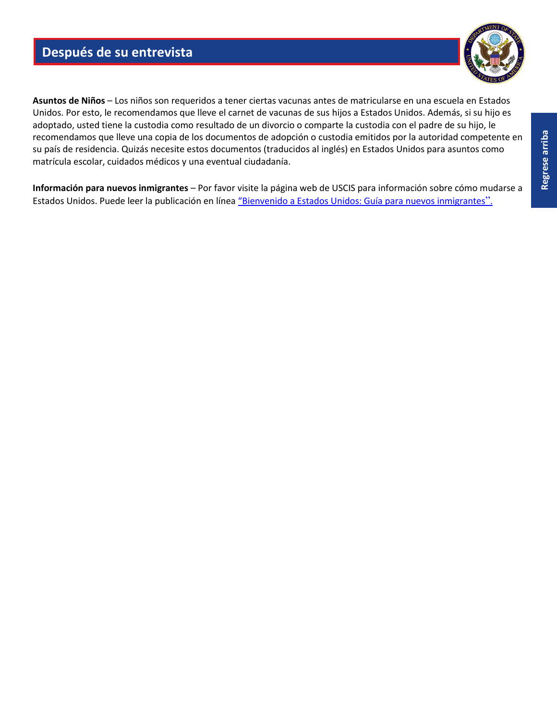# **Después de su entrevista**



**Asuntos de Niños** – Los niños son requeridos a tener ciertas vacunas antes de matricularse en una escuela en Estados Unidos. Por esto, le recomendamos que lleve el carnet de vacunas de sus hijos a Estados Unidos. Además, si su hijo es adoptado, usted tiene la custodia como resultado de un divorcio o comparte la custodia con el padre de su hijo, le recomendamos que lleve una copia de los documentos de adopción o custodia emitidos por la autoridad competente en su país de residencia. Quizás necesite estos documentos (traducidos al inglés) en Estados Unidos para asuntos como matrícula escolar, cuidados médicos y una eventual ciudadanía.

**Información para nuevos inmigrantes** – Por favor visite la página web de USCIS para información sobre cómo mudarse a Estados Unidos. Puede leer la publicación en línea "[Bienvenido a Estados Unidos: Guía para nuevos inmigrantes](https://uscis.gov/es/inmigrantesnuevos)".